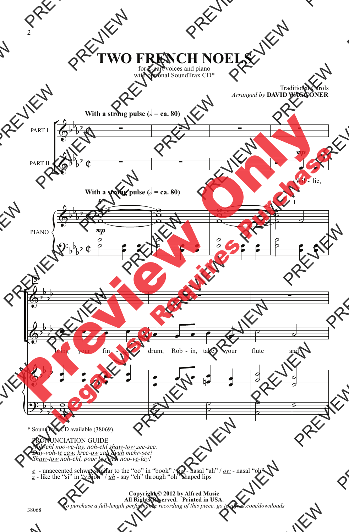## **TWO FRENCH NOELS**

for 2-part voices and piano with optional SoundTrax CD\*

> Traditional Carols *Arranged by* **DAVID WAGGONER**



\* SoundTrax CD available (38069).

PRONUNCIATION GUIDE

*Noh-ehl noo-ve-lay, noh-ehl shaw-tow zee-see. Day-voh-te zaw, kree-ow zah dyuh mehr-see! Shaw-tow noh-ehl, poor le rwah noo-ve-lay!*

*e* - unaccented schwa, similar to the "oo" in "book" /  $a_w$  - nasal "ah" /  $o_w$  - nasal "oh"  $z$  - like the "si" in "vision" /  $u_h$  - say "eh" through "oh" shaped lips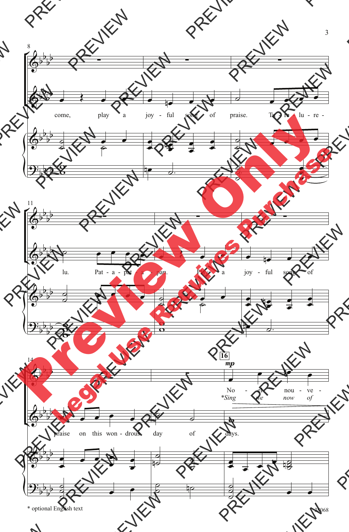

\* optional English text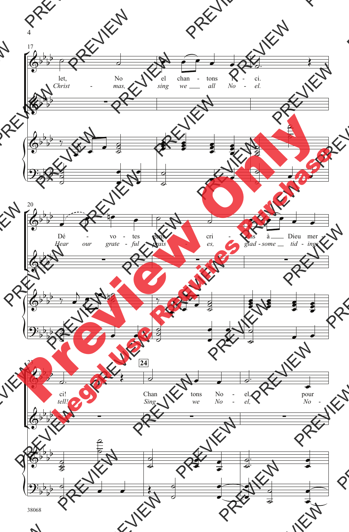

4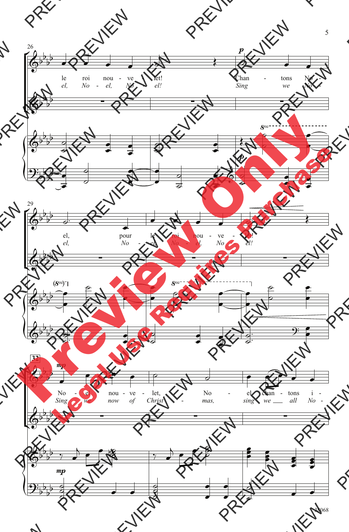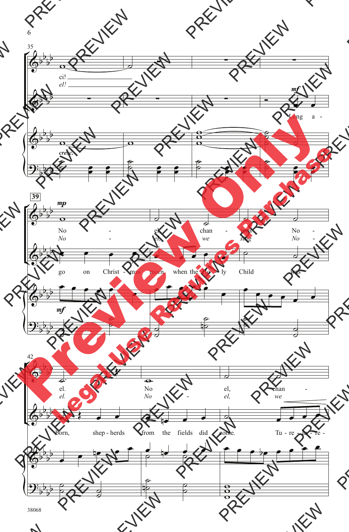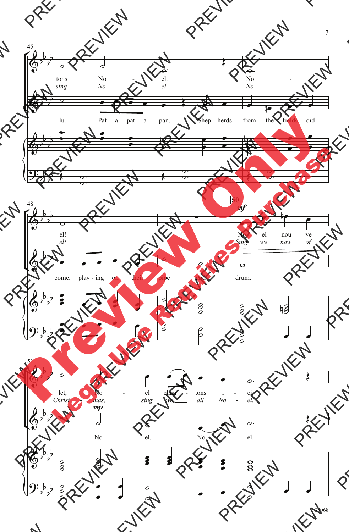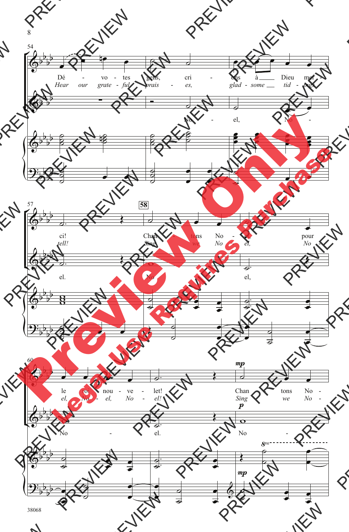

8

38068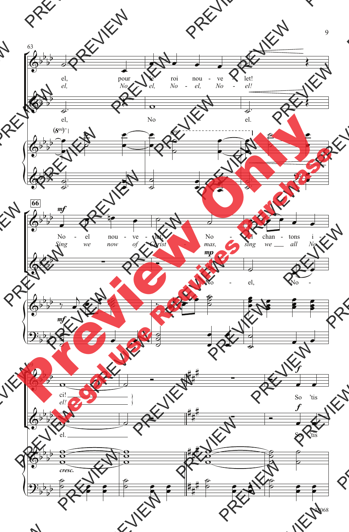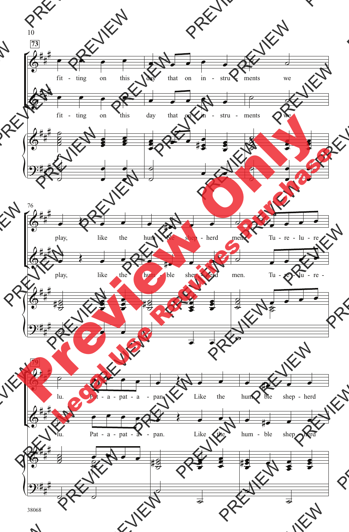